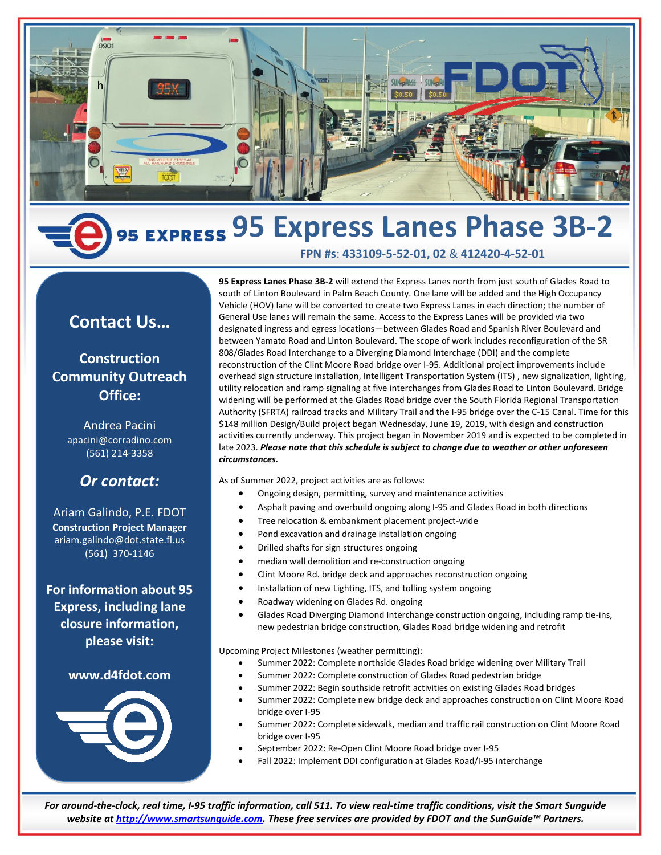

# **95 Express Lanes Phase 3B-2**

# **Contact Us…**

### **Construction Community Outreach Office:**

Andrea Pacini apacini@corradino.com (561) 214-3358

## *Or contact:*

Ariam Galindo, P.E. FDOT **Construction Project Manager** ariam.galindo@dot.state.fl.us (561) 370-1146

**For information about 95 Express, including lane closure information, please visit:**

### **www.d4fdot.com**



**95 Express Lanes Phase 3B-2** will extend the Express Lanes north from just south of Glades Road to south of Linton Boulevard in Palm Beach County. One lane will be added and the High Occupancy Vehicle (HOV) lane will be converted to create two Express Lanes in each direction; the number of General Use lanes will remain the same. Access to the Express Lanes will be provided via two designated ingress and egress locations—between Glades Road and Spanish River Boulevard and between Yamato Road and Linton Boulevard. The scope of work includes reconfiguration of the SR 808/Glades Road Interchange to a Diverging Diamond Interchage (DDI) and the complete reconstruction of the Clint Moore Road bridge over I-95. Additional project improvements include overhead sign structure installation, Intelligent Transportation System (ITS) , new signalization, lighting, utility relocation and ramp signaling at five interchanges from Glades Road to Linton Boulevard. Bridge widening will be performed at the Glades Road bridge over the South Florida Regional Transportation Authority (SFRTA) railroad tracks and Military Trail and the I-95 bridge over the C-15 Canal. Time for this \$148 million Design/Build project began Wednesday, June 19, 2019, with design and construction activities currently underway. This project began in November 2019 and is expected to be completed in late 2023. *Please note that this schedule is subject to change due to weather or other unforeseen circumstances.*

**FPN #s**: **433109-5-52-01, 02** & **412420-4-52-01**

As of Summer 2022, project activities are as follows:

- Ongoing design, permitting, survey and maintenance activities
- Asphalt paving and overbuild ongoing along I-95 and Glades Road in both directions
- Tree relocation & embankment placement project-wide
- Pond excavation and drainage installation ongoing
- Drilled shafts for sign structures ongoing
- median wall demolition and re-construction ongoing
- Clint Moore Rd. bridge deck and approaches reconstruction ongoing
- Installation of new Lighting, ITS, and tolling system ongoing
- Roadway widening on Glades Rd. ongoing
- Glades Road Diverging Diamond Interchange construction ongoing, including ramp tie-ins, new pedestrian bridge construction, Glades Road bridge widening and retrofit

Upcoming Project Milestones (weather permitting):

- Summer 2022: Complete northside Glades Road bridge widening over Military Trail
- Summer 2022: Complete construction of Glades Road pedestrian bridge
- Summer 2022: Begin southside retrofit activities on existing Glades Road bridges
- Summer 2022: Complete new bridge deck and approaches construction on Clint Moore Road bridge over I-95
- Summer 2022: Complete sidewalk, median and traffic rail construction on Clint Moore Road bridge over I-95
- September 2022: Re-Open Clint Moore Road bridge over I-95
- Fall 2022: Implement DDI configuration at Glades Road/I-95 interchange

*For around-the-clock, real time, I-95 traffic information, call 511. To view real-time traffic conditions, visit the Smart Sunguide website a[t http://www.smartsunguide.com.](http://www.smartsunguide.com/) These free services are provided by FDOT and the SunGuide™ Partners.*